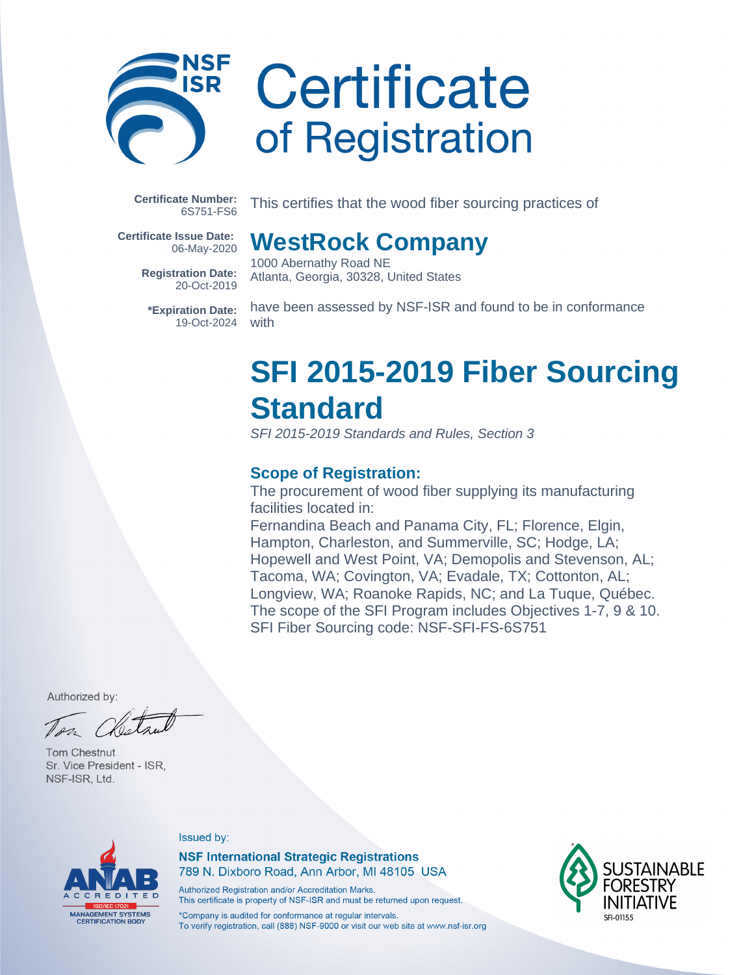

# Certificate of Registration

**WestRock Company**

Atlanta, Georgia, 30328, United States

1000 Abernathy Road NE

**Certificate Number:** 6S751-FS6

This certifies that the wood fiber sourcing practices of

**Certificate Issue Date:** 06-May-2020

> **Registration Date:** 20-Oct-2019

**\*Expiration Date:** 19-Oct-2024

have been assessed by NSF-ISR and found to be in conformance with

### **SFI 2015-2019 Fiber Sourcing Standard**

SFI 2015-2019 Standards and Rules, Section 3

#### **Scope of Registration:**

The procurement of wood fiber supplying its manufacturing facilities located in:

Fernandina Beach and Panama City, FL; Florence, Elgin, Hampton, Charleston, and Summerville, SC; Hodge, LA; Hopewell and West Point, VA; Demopolis and Stevenson, AL; Tacoma, WA; Covington, VA; Evadale, TX; Cottonton, AL; Longview, WA; Roanoke Rapids, NC; and La Tuque, Québec. The scope of the SFI Program includes Objectives 1-7, 9 & 10. SFI Fiber Sourcing code: NSF-SFI-FS-6S751

Authorized by:

Tom Chestnut Sr. Vice President - ISR. NSF-ISR, Ltd.



#### Issued by:

**NSF International Strategic Registrations** 789 N. Dixboro Road, Ann Arbor, MI 48105 USA

Authorized Registration and/or Accreditation Marks. This certificate is property of NSF-ISR and must be returned upon request.

\*Company is audited for conformance at regular intervals. To verify registration, call (888) NSF-9000 or visit our web site at www.nsf-isr.org

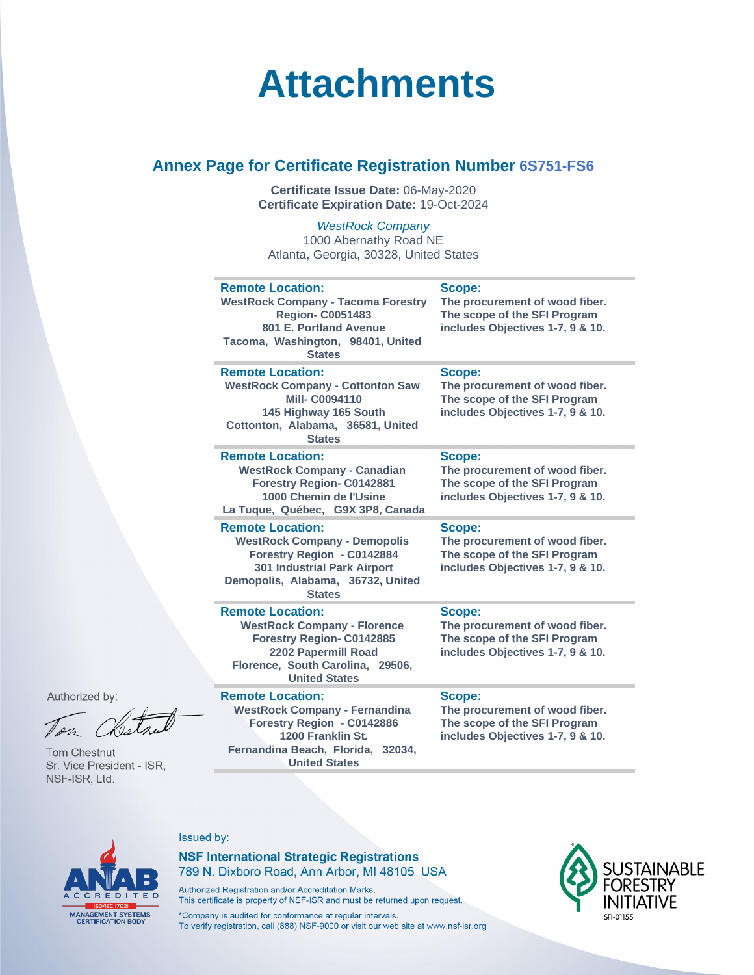### **Attachments**

#### **Annex Page for Certificate Registration Number 6S751-FS6**

**Certificate Issue Date:** 06-May-2020 **Certificate Expiration Date:** 19-Oct-2024

WestRock Company 1000 Abernathy Road NE Atlanta, Georgia, 30328, United States

| <b>Remote Location:</b><br><b>WestRock Company - Tacoma Forestry</b><br><b>Region- C0051483</b><br>801 E. Portland Avenue<br>Tacoma, Washington, 98401, United<br><b>States</b>          | Scope:<br>The procurement of wood fiber.<br>The scope of the SFI Program<br>includes Objectives 1-7, 9 & 10.  |
|------------------------------------------------------------------------------------------------------------------------------------------------------------------------------------------|---------------------------------------------------------------------------------------------------------------|
| <b>Remote Location:</b><br><b>WestRock Company - Cottonton Saw</b><br><b>Mill-C0094110</b><br>145 Highway 165 South<br>Cottonton, Alabama, 36581, United<br><b>States</b>                | Scope:<br>The procurement of wood fiber.<br>The scope of the SFI Program<br>includes Objectives 1-7, 9 & 10.  |
| <b>Remote Location:</b><br><b>WestRock Company - Canadian</b><br><b>Forestry Region- C0142881</b><br>1000 Chemin de l'Usine<br>La Tuque, Québec, G9X 3P8, Canada                         | Scope:<br>The procurement of wood fiber.<br>The scope of the SFI Program<br>includes Objectives 1-7, 9 & 10.  |
| <b>Remote Location:</b><br><b>WestRock Company - Demopolis</b><br>Forestry Region - C0142884<br><b>301 Industrial Park Airport</b><br>Demopolis, Alabama, 36732, United<br><b>States</b> | Scope:<br>The procurement of wood fiber.<br>The scope of the SFI Program<br>includes Objectives 1-7, 9 & 10.  |
| <b>Remote Location:</b><br><b>WestRock Company - Florence</b><br>Forestry Region- C0142885<br>2202 Papermill Road<br>Florence, South Carolina, 29506,<br><b>United States</b>            | Scope:<br>The procurement of wood fiber.<br>The scope of the SFI Program<br>includes Objectives 1-7, 9 & 10.  |
| <b>Remote Location:</b><br><b>WestRock Company - Fernandina</b><br>Forestry Region - C0142886<br>1200 Franklin St                                                                        | Scope:<br>The procurement of wood fiber.<br>The scope of the SFI Program<br>includes Objectives 1-7, 9, 8, 10 |

Authorized by:

**Tom Chestnut** Sr. Vice President - ISR, NSF-ISR, Ltd.

**1200 Franklin St. Fernandina Beach, Florida, 32034, United States**

**includes Objectives 1-7, 9 & 10.**



#### Issued by:

#### **NSF International Strategic Registrations** 789 N. Dixboro Road, Ann Arbor, MI 48105 USA

Authorized Registration and/or Accreditation Marks. This certificate is property of NSF-ISR and must be returned upon request.

\*Company is audited for conformance at regular intervals. To verify registration, call (888) NSF-9000 or visit our web site at www.nsf-isr.org

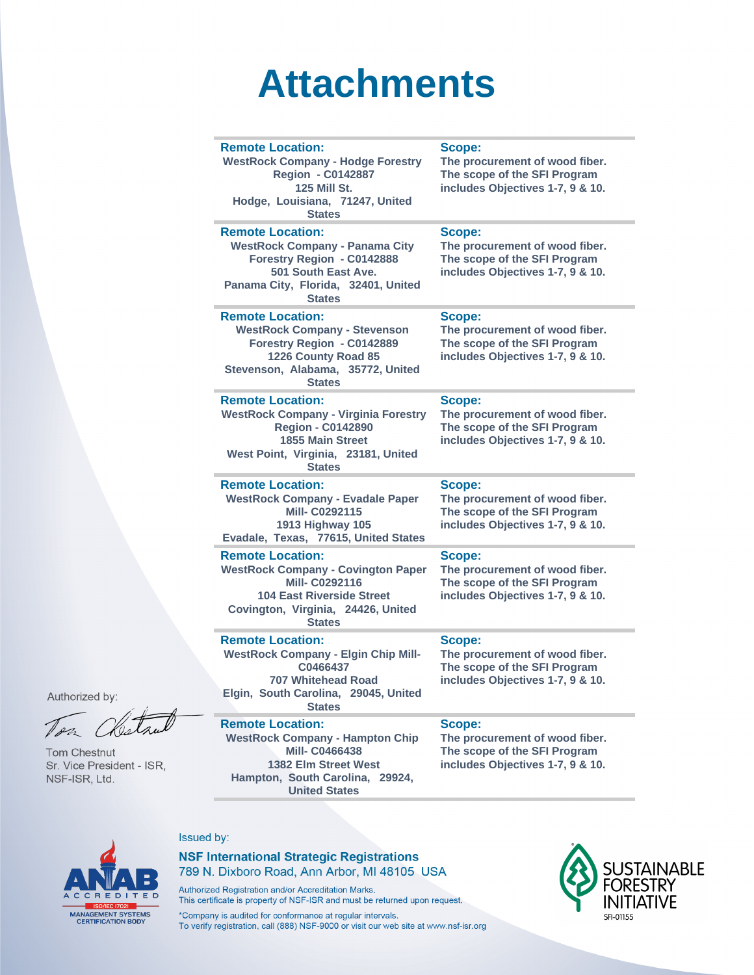## **Attachments**

| <b>Remote Location:</b><br><b>WestRock Company - Hodge Forestry</b><br><b>Region - C0142887</b><br><b>125 Mill St.</b><br>Hodge, Louisiana, 71247, United<br><b>States</b>              | Scope:<br>The procurement of wood fiber.<br>The scope of the SFI Program<br>includes Objectives 1-7, 9 & 10.        |
|-----------------------------------------------------------------------------------------------------------------------------------------------------------------------------------------|---------------------------------------------------------------------------------------------------------------------|
| <b>Remote Location:</b><br><b>WestRock Company - Panama City</b><br>Forestry Region - C0142888<br>501 South East Ave.<br>Panama City, Florida, 32401, United<br><b>States</b>           | Scope:<br>The procurement of wood fiber.<br>The scope of the SFI Program<br>includes Objectives 1-7, 9 & 10.        |
| <b>Remote Location:</b><br><b>WestRock Company - Stevenson</b><br>Forestry Region - C0142889<br>1226 County Road 85<br>Stevenson, Alabama, 35772, United<br><b>States</b>               | Scope:<br>The procurement of wood fiber.<br>The scope of the SFI Program<br>includes Objectives 1-7, 9 & 10.        |
| <b>Remote Location:</b><br><b>WestRock Company - Virginia Forestry</b><br><b>Region - C0142890</b><br><b>1855 Main Street</b><br>West Point, Virginia, 23181, United<br><b>States</b>   | <b>Scope:</b><br>The procurement of wood fiber.<br>The scope of the SFI Program<br>includes Objectives 1-7, 9 & 10. |
| <b>Remote Location:</b><br><b>WestRock Company - Evadale Paper</b><br><b>Mill-C0292115</b><br>1913 Highway 105<br>Evadale, Texas, 77615, United States                                  | Scope:<br>The procurement of wood fiber.<br>The scope of the SFI Program<br>includes Objectives 1-7, 9 & 10.        |
| <b>Remote Location:</b><br><b>WestRock Company - Covington Paper</b><br><b>Mill-C0292116</b><br><b>104 East Riverside Street</b><br>Covington, Virginia, 24426, United<br><b>States</b> | Scope:<br>The procurement of wood fiber.<br>The scope of the SFI Program<br>includes Objectives 1-7, 9 & 10.        |
| <b>Remote Location:</b><br><b>WestRock Company - Elgin Chip Mill-</b><br>C0466437<br><b>707 Whitehead Road</b><br>Elgin, South Carolina, 29045, United<br><b>States</b>                 | Scope:<br>The procurement of wood fiber.<br>The scope of the SFI Program<br>includes Objectives 1-7, 9 & 10.        |
| <b>Remote Location:</b><br><b>WestRock Company - Hampton Chip</b><br><b>Mill-C0466438</b><br>1382 Elm Street West<br>Hampton, South Carolina, 29924.                                    | Scope:<br>The procurement of wood fiber.<br>The scope of the SFI Program<br>includes Objectives 1-7, 9 & 10.        |

Authorized by:

Tom Chestnut Sr. Vice President - ISR, NSF-ISR, Ltd.

CCREDITED

MANAGEMENT SYSTEMS<br>CERTIFICATION BODY

#### Issued by:

#### **NSF International Strategic Registrations** 789 N. Dixboro Road, Ann Arbor, MI 48105 USA

Authorized Registration and/or Accreditation Marks. This certificate is property of NSF-ISR and must be returned upon request.

**United States** 

\*Company is audited for conformance at regular intervals.<br>To verify registration, call (888) NSF-9000 or visit our web site at www.nsf-isr.org